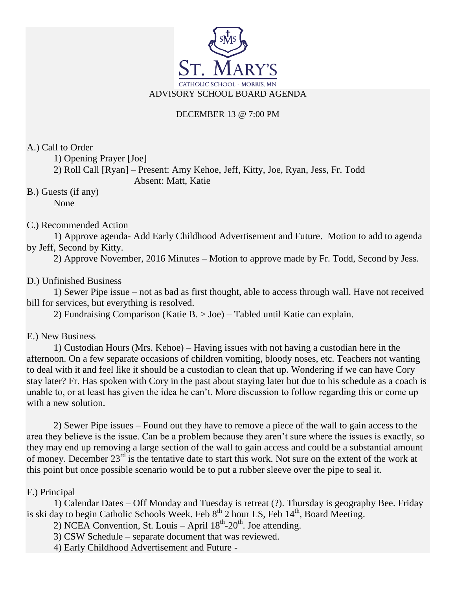

## DECEMBER 13 @ 7:00 PM

A.) Call to Order

1) Opening Prayer [Joe]

2) Roll Call [Ryan] – Present: Amy Kehoe, Jeff, Kitty, Joe, Ryan, Jess, Fr. Todd Absent: Matt, Katie

B.) Guests (if any) None

C.) Recommended Action

1) Approve agenda- Add Early Childhood Advertisement and Future. Motion to add to agenda by Jeff, Second by Kitty.

2) Approve November, 2016 Minutes – Motion to approve made by Fr. Todd, Second by Jess.

## D.) Unfinished Business

1) Sewer Pipe issue – not as bad as first thought, able to access through wall. Have not received bill for services, but everything is resolved.

2) Fundraising Comparison (Katie B. > Joe) – Tabled until Katie can explain.

E.) New Business

1) Custodian Hours (Mrs. Kehoe) – Having issues with not having a custodian here in the afternoon. On a few separate occasions of children vomiting, bloody noses, etc. Teachers not wanting to deal with it and feel like it should be a custodian to clean that up. Wondering if we can have Cory stay later? Fr. Has spoken with Cory in the past about staying later but due to his schedule as a coach is unable to, or at least has given the idea he can't. More discussion to follow regarding this or come up with a new solution.

2) Sewer Pipe issues – Found out they have to remove a piece of the wall to gain access to the area they believe is the issue. Can be a problem because they aren't sure where the issues is exactly, so they may end up removing a large section of the wall to gain access and could be a substantial amount of money. December 23<sup>rd</sup> is the tentative date to start this work. Not sure on the extent of the work at this point but once possible scenario would be to put a rubber sleeve over the pipe to seal it.

## F.) Principal

1) Calendar Dates – Off Monday and Tuesday is retreat (?). Thursday is geography Bee. Friday is ski day to begin Catholic Schools Week. Feb  $8<sup>th</sup>$  2 hour LS, Feb  $14<sup>th</sup>$ , Board Meeting.

2) NCEA Convention, St. Louis – April  $18^{th}$ - $20^{th}$ . Joe attending.

3) CSW Schedule – separate document that was reviewed.

4) Early Childhood Advertisement and Future -